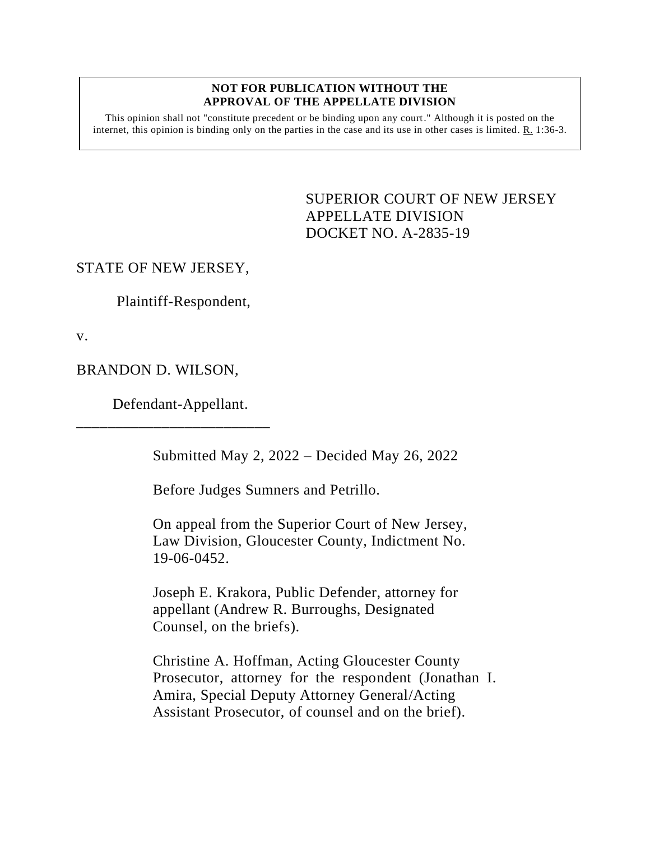#### **NOT FOR PUBLICATION WITHOUT THE APPROVAL OF THE APPELLATE DIVISION**

This opinion shall not "constitute precedent or be binding upon any court." Although it is posted on the internet, this opinion is binding only on the parties in the case and its use in other cases is limited.  $R_1$  1:36-3.

> SUPERIOR COURT OF NEW JERSEY APPELLATE DIVISION DOCKET NO. A-2835-19

# STATE OF NEW JERSEY,

Plaintiff-Respondent,

v.

BRANDON D. WILSON,

Defendant-Appellant.

\_\_\_\_\_\_\_\_\_\_\_\_\_\_\_\_\_\_\_\_\_\_\_\_\_

Submitted May 2, 2022 – Decided May 26, 2022

Before Judges Sumners and Petrillo.

On appeal from the Superior Court of New Jersey, Law Division, Gloucester County, Indictment No. 19-06-0452.

Joseph E. Krakora, Public Defender, attorney for appellant (Andrew R. Burroughs, Designated Counsel, on the briefs).

Christine A. Hoffman, Acting Gloucester County Prosecutor, attorney for the respondent (Jonathan I. Amira, Special Deputy Attorney General/Acting Assistant Prosecutor, of counsel and on the brief).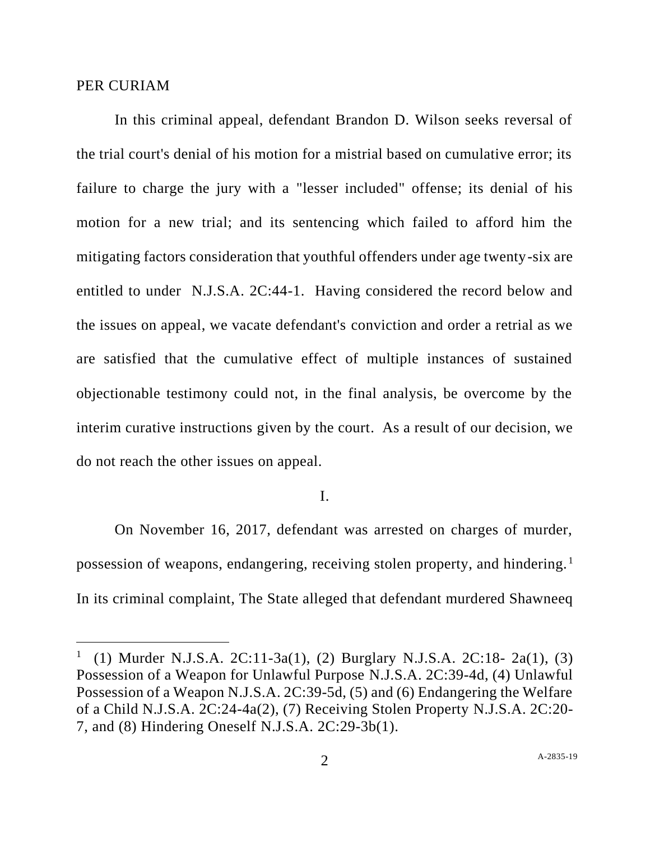## PER CURIAM

In this criminal appeal, defendant Brandon D. Wilson seeks reversal of the trial court's denial of his motion for a mistrial based on cumulative error; its failure to charge the jury with a "lesser included" offense; its denial of his motion for a new trial; and its sentencing which failed to afford him the mitigating factors consideration that youthful offenders under age twenty-six are entitled to under N.J.S.A. 2C:44-1. Having considered the record below and the issues on appeal, we vacate defendant's conviction and order a retrial as we are satisfied that the cumulative effect of multiple instances of sustained objectionable testimony could not, in the final analysis, be overcome by the interim curative instructions given by the court. As a result of our decision, we do not reach the other issues on appeal.

# I.

On November 16, 2017, defendant was arrested on charges of murder, possession of weapons, endangering, receiving stolen property, and hindering.<sup>1</sup> In its criminal complaint, The State alleged that defendant murdered Shawneeq

<sup>1</sup> (1) Murder N.J.S.A. 2C:11-3a(1), (2) Burglary N.J.S.A. 2C:18- 2a(1), (3) Possession of a Weapon for Unlawful Purpose N.J.S.A. 2C:39-4d, (4) Unlawful Possession of a Weapon N.J.S.A. 2C:39-5d, (5) and (6) Endangering the Welfare of a Child N.J.S.A. 2C:24-4a(2), (7) Receiving Stolen Property N.J.S.A. 2C:20- 7, and (8) Hindering Oneself N.J.S.A. 2C:29-3b(1).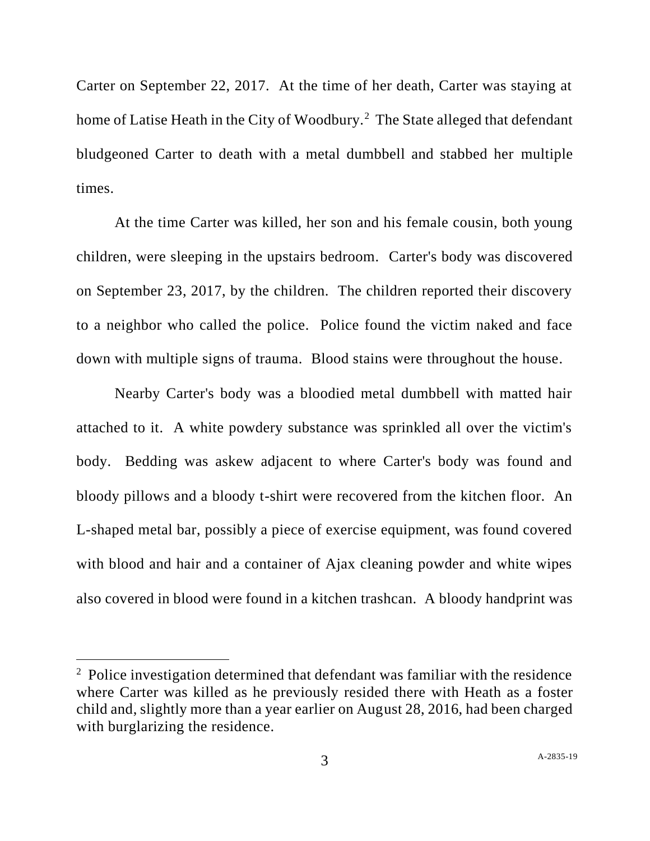Carter on September 22, 2017. At the time of her death, Carter was staying at home of Latise Heath in the City of Woodbury.<sup>2</sup> The State alleged that defendant bludgeoned Carter to death with a metal dumbbell and stabbed her multiple times.

At the time Carter was killed, her son and his female cousin, both young children, were sleeping in the upstairs bedroom. Carter's body was discovered on September 23, 2017, by the children. The children reported their discovery to a neighbor who called the police. Police found the victim naked and face down with multiple signs of trauma. Blood stains were throughout the house.

Nearby Carter's body was a bloodied metal dumbbell with matted hair attached to it. A white powdery substance was sprinkled all over the victim's body. Bedding was askew adjacent to where Carter's body was found and bloody pillows and a bloody t-shirt were recovered from the kitchen floor. An L-shaped metal bar, possibly a piece of exercise equipment, was found covered with blood and hair and a container of Ajax cleaning powder and white wipes also covered in blood were found in a kitchen trashcan. A bloody handprint was

<sup>&</sup>lt;sup>2</sup> Police investigation determined that defendant was familiar with the residence where Carter was killed as he previously resided there with Heath as a foster child and, slightly more than a year earlier on August 28, 2016, had been charged with burglarizing the residence.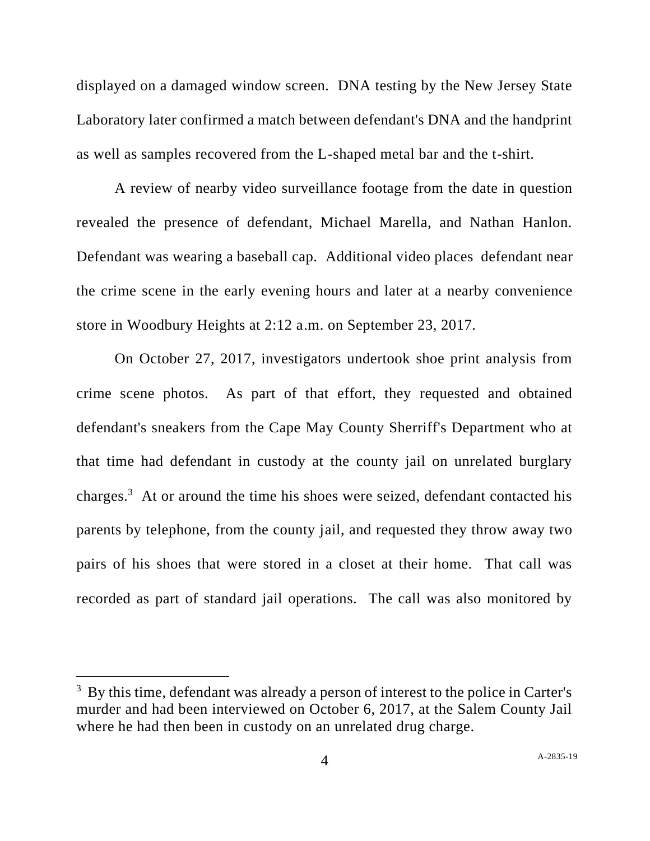displayed on a damaged window screen. DNA testing by the New Jersey State Laboratory later confirmed a match between defendant's DNA and the handprint as well as samples recovered from the L-shaped metal bar and the t-shirt.

A review of nearby video surveillance footage from the date in question revealed the presence of defendant, Michael Marella, and Nathan Hanlon. Defendant was wearing a baseball cap. Additional video places defendant near the crime scene in the early evening hours and later at a nearby convenience store in Woodbury Heights at 2:12 a.m. on September 23, 2017.

On October 27, 2017, investigators undertook shoe print analysis from crime scene photos. As part of that effort, they requested and obtained defendant's sneakers from the Cape May County Sherriff's Department who at that time had defendant in custody at the county jail on unrelated burglary charges.<sup>3</sup> At or around the time his shoes were seized, defendant contacted his parents by telephone, from the county jail, and requested they throw away two pairs of his shoes that were stored in a closet at their home. That call was recorded as part of standard jail operations. The call was also monitored by

<sup>&</sup>lt;sup>3</sup> By this time, defendant was already a person of interest to the police in Carter's murder and had been interviewed on October 6, 2017, at the Salem County Jail where he had then been in custody on an unrelated drug charge.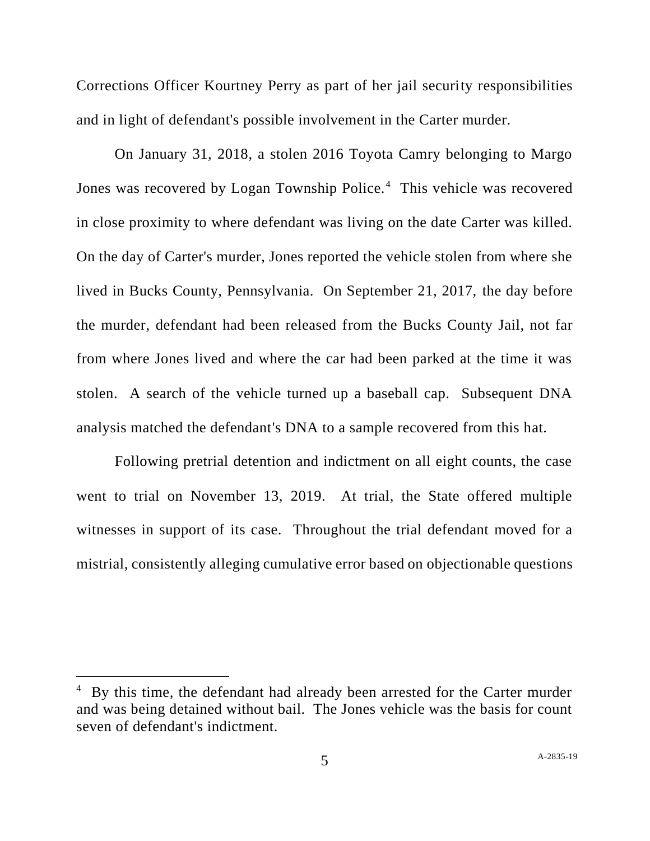Corrections Officer Kourtney Perry as part of her jail security responsibilities and in light of defendant's possible involvement in the Carter murder.

On January 31, 2018, a stolen 2016 Toyota Camry belonging to Margo Jones was recovered by Logan Township Police.<sup>4</sup> This vehicle was recovered in close proximity to where defendant was living on the date Carter was killed. On the day of Carter's murder, Jones reported the vehicle stolen from where she lived in Bucks County, Pennsylvania. On September 21, 2017, the day before the murder, defendant had been released from the Bucks County Jail, not far from where Jones lived and where the car had been parked at the time it was stolen. A search of the vehicle turned up a baseball cap. Subsequent DNA analysis matched the defendant's DNA to a sample recovered from this hat.

Following pretrial detention and indictment on all eight counts, the case went to trial on November 13, 2019. At trial, the State offered multiple witnesses in support of its case. Throughout the trial defendant moved for a mistrial, consistently alleging cumulative error based on objectionable questions

 $4\,$  By this time, the defendant had already been arrested for the Carter murder and was being detained without bail. The Jones vehicle was the basis for count seven of defendant's indictment.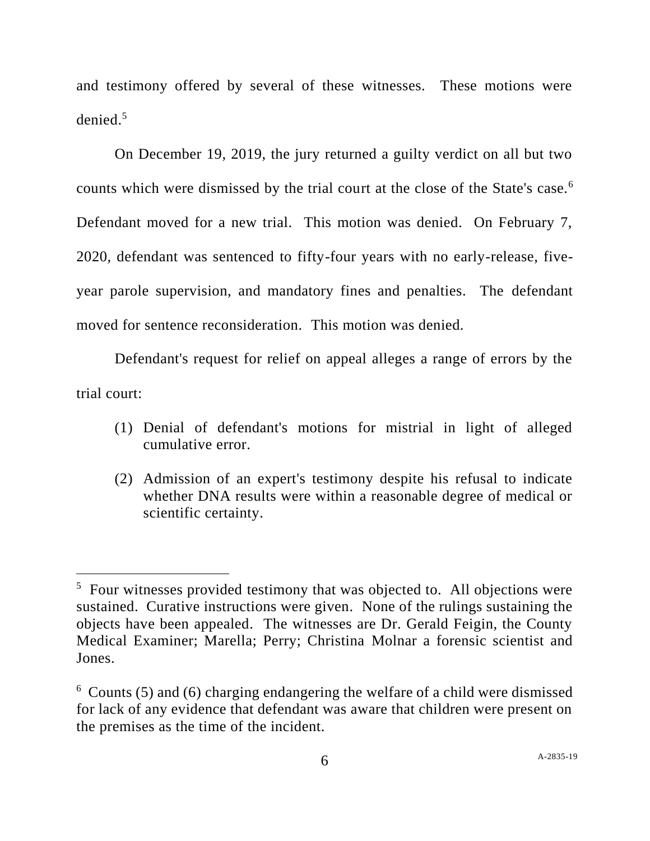and testimony offered by several of these witnesses. These motions were denied.<sup>5</sup>

On December 19, 2019, the jury returned a guilty verdict on all but two counts which were dismissed by the trial court at the close of the State's case.<sup>6</sup> Defendant moved for a new trial. This motion was denied. On February 7, 2020, defendant was sentenced to fifty-four years with no early-release, fiveyear parole supervision, and mandatory fines and penalties. The defendant moved for sentence reconsideration. This motion was denied.

Defendant's request for relief on appeal alleges a range of errors by the trial court:

- (1) Denial of defendant's motions for mistrial in light of alleged cumulative error.
- (2) Admission of an expert's testimony despite his refusal to indicate whether DNA results were within a reasonable degree of medical or scientific certainty.

<sup>&</sup>lt;sup>5</sup> Four witnesses provided testimony that was objected to. All objections were sustained. Curative instructions were given. None of the rulings sustaining the objects have been appealed. The witnesses are Dr. Gerald Feigin, the County Medical Examiner; Marella; Perry; Christina Molnar a forensic scientist and Jones.

<sup>6</sup> Counts (5) and (6) charging endangering the welfare of a child were dismissed for lack of any evidence that defendant was aware that children were present on the premises as the time of the incident.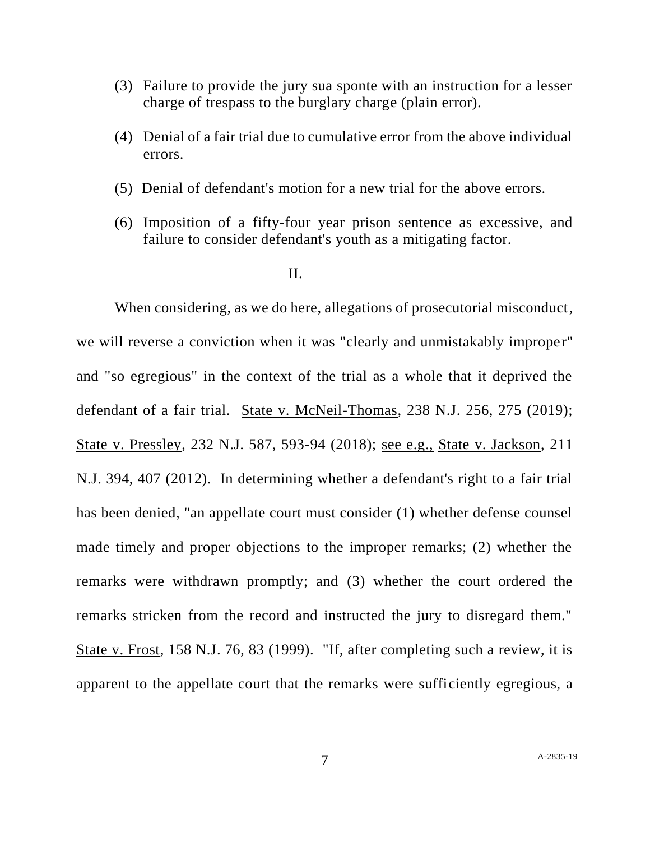- (3) Failure to provide the jury sua sponte with an instruction for a lesser charge of trespass to the burglary charge (plain error).
- (4) Denial of a fair trial due to cumulative error from the above individual errors.
- (5) Denial of defendant's motion for a new trial for the above errors.
- (6) Imposition of a fifty-four year prison sentence as excessive, and failure to consider defendant's youth as a mitigating factor.

### II.

When considering, as we do here, allegations of prosecutorial misconduct, we will reverse a conviction when it was "clearly and unmistakably improper" and "so egregious" in the context of the trial as a whole that it deprived the defendant of a fair trial. State v. McNeil-Thomas, 238 N.J. 256, 275 (2019); State v. Pressley, 232 N.J. 587, 593-94 (2018); see e.g., State v. Jackson, 211 N.J. 394, 407 (2012). In determining whether a defendant's right to a fair trial has been denied, "an appellate court must consider (1) whether defense counsel made timely and proper objections to the improper remarks; (2) whether the remarks were withdrawn promptly; and (3) whether the court ordered the remarks stricken from the record and instructed the jury to disregard them." State v. Frost, 158 N.J. 76, 83 (1999). "If, after completing such a review, it is apparent to the appellate court that the remarks were sufficiently egregious, a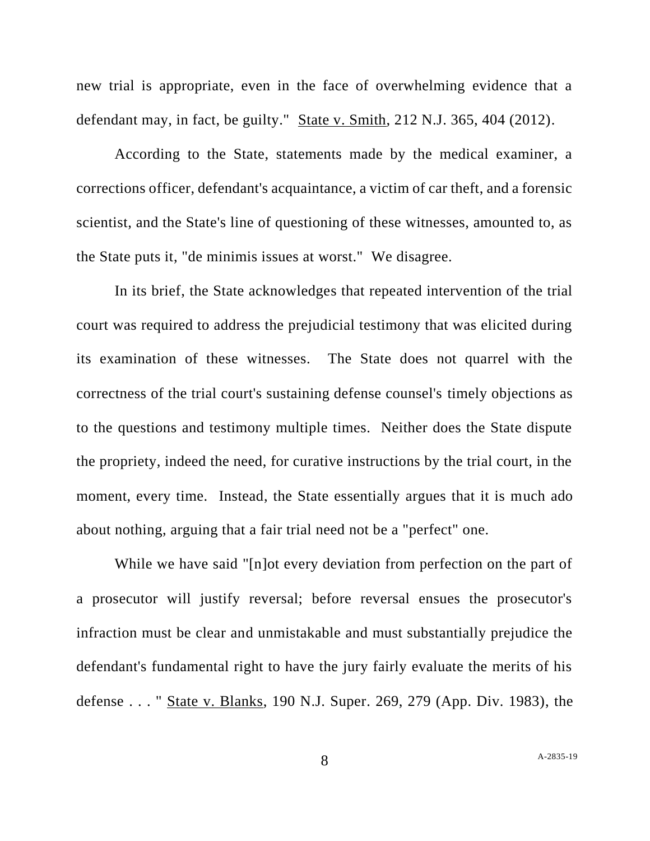new trial is appropriate, even in the face of overwhelming evidence that a defendant may, in fact, be guilty." State v. Smith, 212 N.J. 365, 404 (2012).

According to the State, statements made by the medical examiner, a corrections officer, defendant's acquaintance, a victim of car theft, and a forensic scientist, and the State's line of questioning of these witnesses, amounted to, as the State puts it, "de minimis issues at worst." We disagree.

In its brief, the State acknowledges that repeated intervention of the trial court was required to address the prejudicial testimony that was elicited during its examination of these witnesses. The State does not quarrel with the correctness of the trial court's sustaining defense counsel's timely objections as to the questions and testimony multiple times. Neither does the State dispute the propriety, indeed the need, for curative instructions by the trial court, in the moment, every time. Instead, the State essentially argues that it is much ado about nothing, arguing that a fair trial need not be a "perfect" one.

While we have said "[n]ot every deviation from perfection on the part of a prosecutor will justify reversal; before reversal ensues the prosecutor's infraction must be clear and unmistakable and must substantially prejudice the defendant's fundamental right to have the jury fairly evaluate the merits of his defense . . . " State v. Blanks, 190 N.J. Super. 269, 279 (App. Div. 1983), the

A-2835-19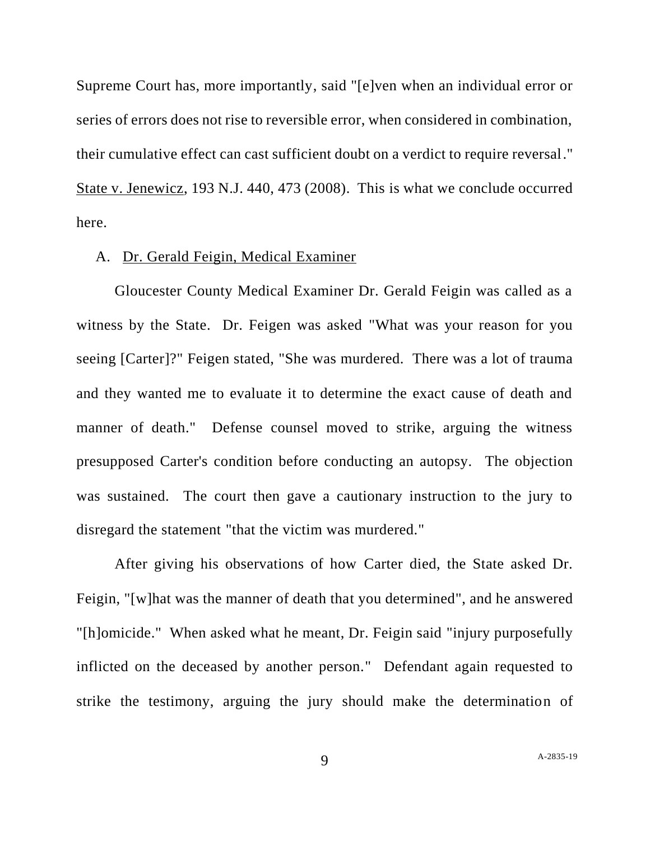Supreme Court has, more importantly, said "[e]ven when an individual error or series of errors does not rise to reversible error, when considered in combination, their cumulative effect can cast sufficient doubt on a verdict to require reversal." State v. Jenewicz, 193 N.J. 440, 473 (2008). This is what we conclude occurred here.

## A. Dr. Gerald Feigin, Medical Examiner

Gloucester County Medical Examiner Dr. Gerald Feigin was called as a witness by the State. Dr. Feigen was asked "What was your reason for you seeing [Carter]?" Feigen stated, "She was murdered. There was a lot of trauma and they wanted me to evaluate it to determine the exact cause of death and manner of death." Defense counsel moved to strike, arguing the witness presupposed Carter's condition before conducting an autopsy. The objection was sustained. The court then gave a cautionary instruction to the jury to disregard the statement "that the victim was murdered."

After giving his observations of how Carter died, the State asked Dr. Feigin, "[w]hat was the manner of death that you determined", and he answered "[h]omicide." When asked what he meant, Dr. Feigin said "injury purposefully inflicted on the deceased by another person." Defendant again requested to strike the testimony, arguing the jury should make the determination of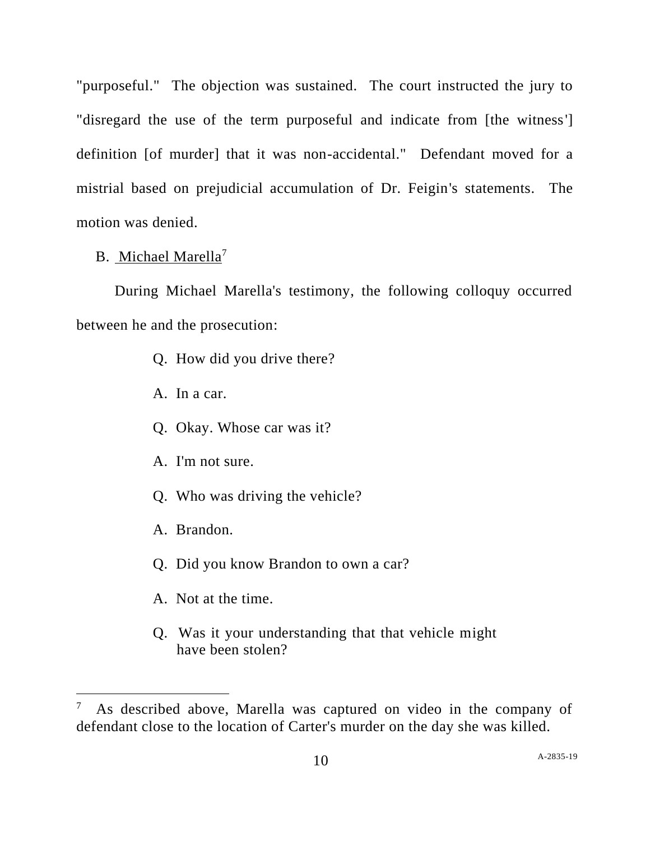"purposeful." The objection was sustained. The court instructed the jury to "disregard the use of the term purposeful and indicate from [the witness'] definition [of murder] that it was non-accidental." Defendant moved for a mistrial based on prejudicial accumulation of Dr. Feigin's statements. The motion was denied.

# B. Michael Marella<sup>7</sup>

During Michael Marella's testimony, the following colloquy occurred between he and the prosecution:

- Q. How did you drive there?
- A. In a car.
- Q. Okay. Whose car was it?
- A. I'm not sure.
- Q. Who was driving the vehicle?
- A. Brandon.
- Q. Did you know Brandon to own a car?
- A. Not at the time.
- Q. Was it your understanding that that vehicle might have been stolen?

<sup>7</sup> As described above, Marella was captured on video in the company of defendant close to the location of Carter's murder on the day she was killed.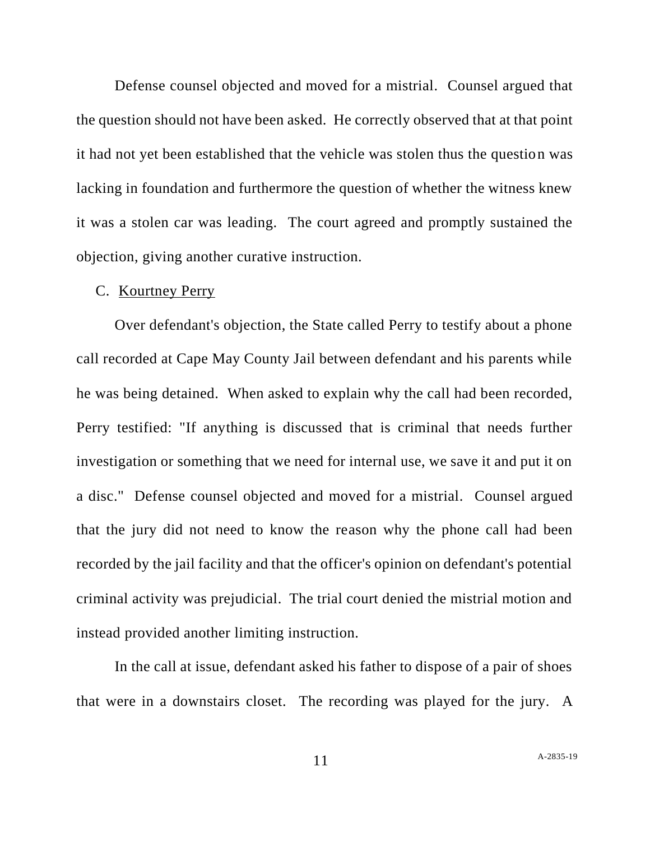Defense counsel objected and moved for a mistrial. Counsel argued that the question should not have been asked. He correctly observed that at that point it had not yet been established that the vehicle was stolen thus the question was lacking in foundation and furthermore the question of whether the witness knew it was a stolen car was leading. The court agreed and promptly sustained the objection, giving another curative instruction.

### C. Kourtney Perry

Over defendant's objection, the State called Perry to testify about a phone call recorded at Cape May County Jail between defendant and his parents while he was being detained. When asked to explain why the call had been recorded, Perry testified: "If anything is discussed that is criminal that needs further investigation or something that we need for internal use, we save it and put it on a disc." Defense counsel objected and moved for a mistrial. Counsel argued that the jury did not need to know the reason why the phone call had been recorded by the jail facility and that the officer's opinion on defendant's potential criminal activity was prejudicial. The trial court denied the mistrial motion and instead provided another limiting instruction.

In the call at issue, defendant asked his father to dispose of a pair of shoes that were in a downstairs closet. The recording was played for the jury. A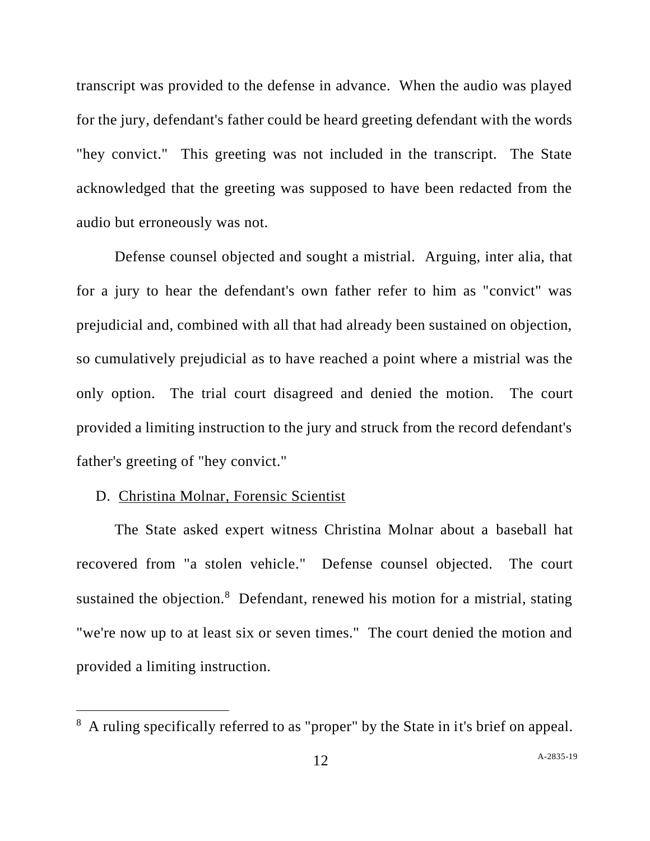transcript was provided to the defense in advance. When the audio was played for the jury, defendant's father could be heard greeting defendant with the words "hey convict." This greeting was not included in the transcript. The State acknowledged that the greeting was supposed to have been redacted from the audio but erroneously was not.

Defense counsel objected and sought a mistrial. Arguing, inter alia, that for a jury to hear the defendant's own father refer to him as "convict" was prejudicial and, combined with all that had already been sustained on objection, so cumulatively prejudicial as to have reached a point where a mistrial was the only option. The trial court disagreed and denied the motion. The court provided a limiting instruction to the jury and struck from the record defendant's father's greeting of "hey convict."

# D. Christina Molnar, Forensic Scientist

The State asked expert witness Christina Molnar about a baseball hat recovered from "a stolen vehicle." Defense counsel objected. The court sustained the objection.<sup>8</sup> Defendant, renewed his motion for a mistrial, stating "we're now up to at least six or seven times." The court denied the motion and provided a limiting instruction.

<sup>8</sup> A ruling specifically referred to as "proper" by the State in it's brief on appeal.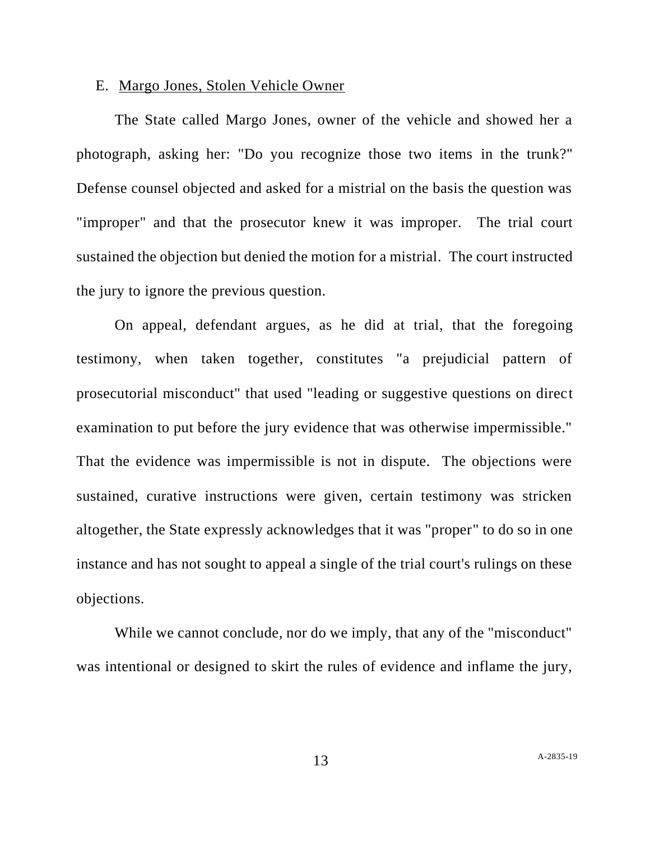### E. Margo Jones, Stolen Vehicle Owner

The State called Margo Jones, owner of the vehicle and showed her a photograph, asking her: "Do you recognize those two items in the trunk?" Defense counsel objected and asked for a mistrial on the basis the question was "improper" and that the prosecutor knew it was improper. The trial court sustained the objection but denied the motion for a mistrial. The court instructed the jury to ignore the previous question.

On appeal, defendant argues, as he did at trial, that the foregoing testimony, when taken together, constitutes "a prejudicial pattern of prosecutorial misconduct" that used "leading or suggestive questions on direct examination to put before the jury evidence that was otherwise impermissible." That the evidence was impermissible is not in dispute. The objections were sustained, curative instructions were given, certain testimony was stricken altogether, the State expressly acknowledges that it was "proper" to do so in one instance and has not sought to appeal a single of the trial court's rulings on these objections.

While we cannot conclude, nor do we imply, that any of the "misconduct" was intentional or designed to skirt the rules of evidence and inflame the jury,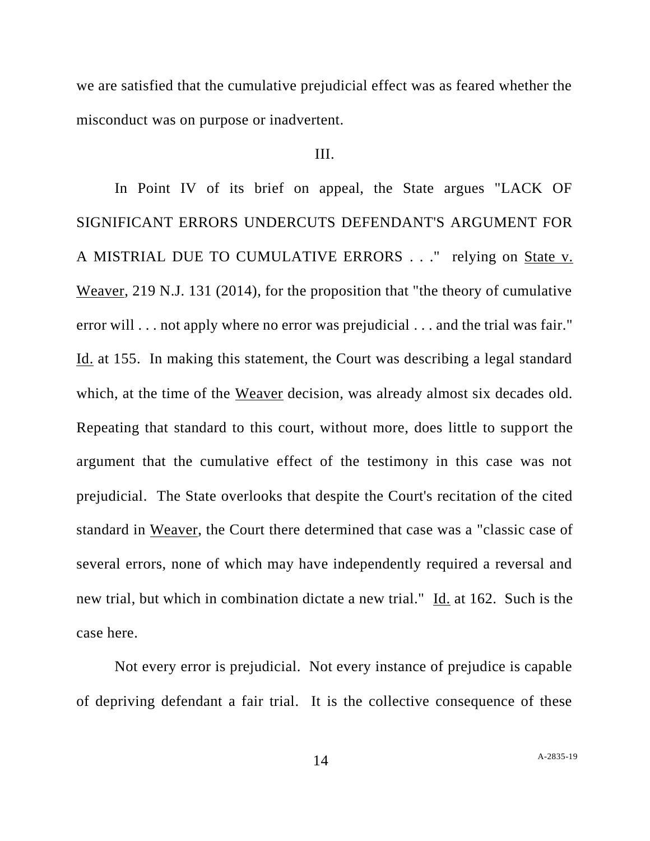we are satisfied that the cumulative prejudicial effect was as feared whether the misconduct was on purpose or inadvertent.

# III.

In Point IV of its brief on appeal, the State argues "LACK OF SIGNIFICANT ERRORS UNDERCUTS DEFENDANT'S ARGUMENT FOR A MISTRIAL DUE TO CUMULATIVE ERRORS . . ." relying on State v. Weaver, 219 N.J. 131 (2014), for the proposition that "the theory of cumulative error will . . . not apply where no error was prejudicial . . . and the trial was fair." Id. at 155. In making this statement, the Court was describing a legal standard which, at the time of the Weaver decision, was already almost six decades old. Repeating that standard to this court, without more, does little to support the argument that the cumulative effect of the testimony in this case was not prejudicial. The State overlooks that despite the Court's recitation of the cited standard in Weaver, the Court there determined that case was a "classic case of several errors, none of which may have independently required a reversal and new trial, but which in combination dictate a new trial." Id. at 162. Such is the case here.

Not every error is prejudicial. Not every instance of prejudice is capable of depriving defendant a fair trial. It is the collective consequence of these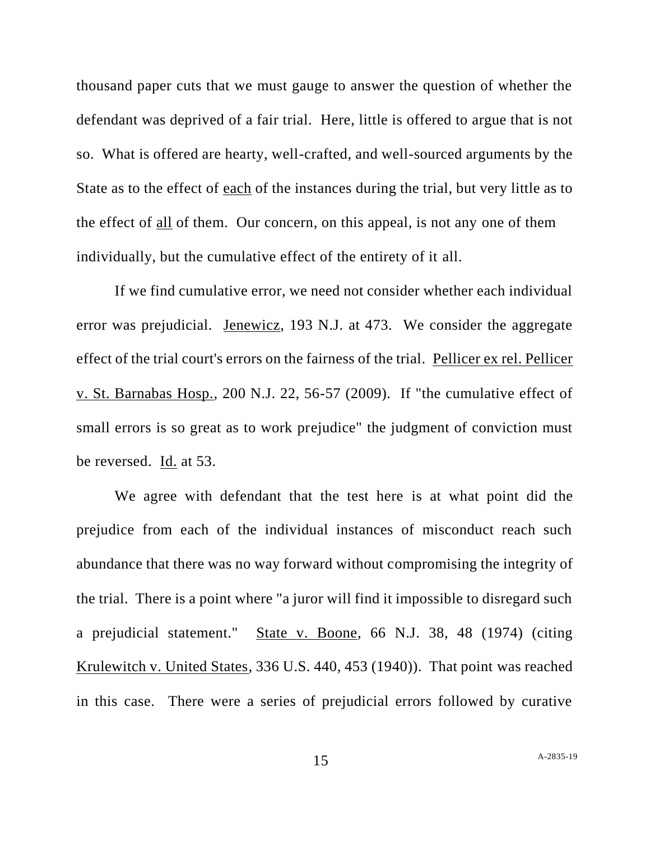thousand paper cuts that we must gauge to answer the question of whether the defendant was deprived of a fair trial. Here, little is offered to argue that is not so. What is offered are hearty, well-crafted, and well-sourced arguments by the State as to the effect of each of the instances during the trial, but very little as to the effect of all of them. Our concern, on this appeal, is not any one of them individually, but the cumulative effect of the entirety of it all.

If we find cumulative error, we need not consider whether each individual error was prejudicial. Jenewicz, 193 N.J. at 473. We consider the aggregate effect of the trial court's errors on the fairness of the trial. Pellicer ex rel. Pellicer v. St. Barnabas Hosp., 200 N.J. 22, 56-57 (2009). If "the cumulative effect of small errors is so great as to work prejudice" the judgment of conviction must be reversed. Id. at 53.

We agree with defendant that the test here is at what point did the prejudice from each of the individual instances of misconduct reach such abundance that there was no way forward without compromising the integrity of the trial. There is a point where "a juror will find it impossible to disregard such a prejudicial statement." State v. Boone, 66 N.J. 38, 48 (1974) (citing Krulewitch v. United States, 336 U.S. 440, 453 (1940)). That point was reached in this case. There were a series of prejudicial errors followed by curative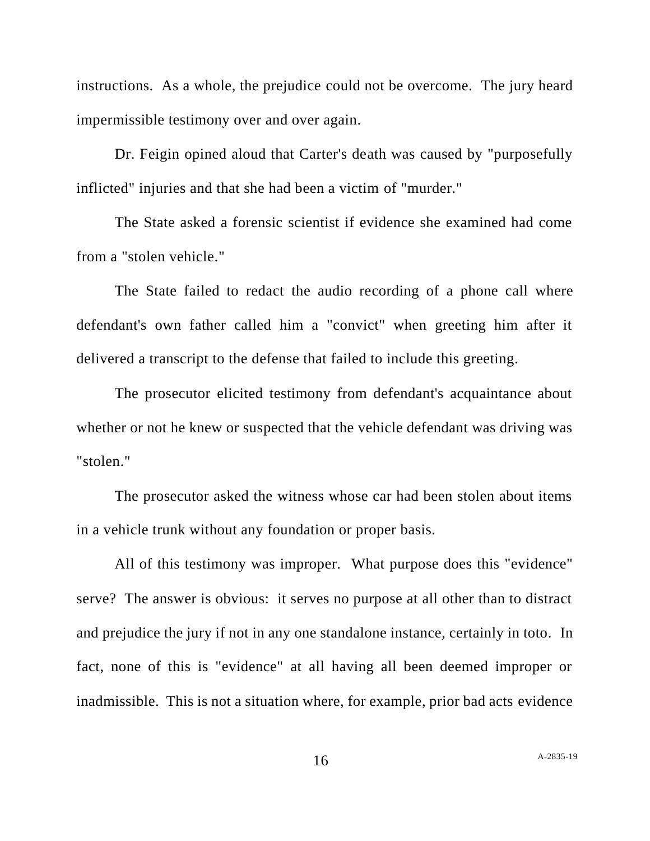instructions. As a whole, the prejudice could not be overcome. The jury heard impermissible testimony over and over again.

Dr. Feigin opined aloud that Carter's death was caused by "purposefully inflicted" injuries and that she had been a victim of "murder."

The State asked a forensic scientist if evidence she examined had come from a "stolen vehicle."

The State failed to redact the audio recording of a phone call where defendant's own father called him a "convict" when greeting him after it delivered a transcript to the defense that failed to include this greeting.

The prosecutor elicited testimony from defendant's acquaintance about whether or not he knew or suspected that the vehicle defendant was driving was "stolen."

The prosecutor asked the witness whose car had been stolen about items in a vehicle trunk without any foundation or proper basis.

All of this testimony was improper. What purpose does this "evidence" serve? The answer is obvious: it serves no purpose at all other than to distract and prejudice the jury if not in any one standalone instance, certainly in toto. In fact, none of this is "evidence" at all having all been deemed improper or inadmissible. This is not a situation where, for example, prior bad acts evidence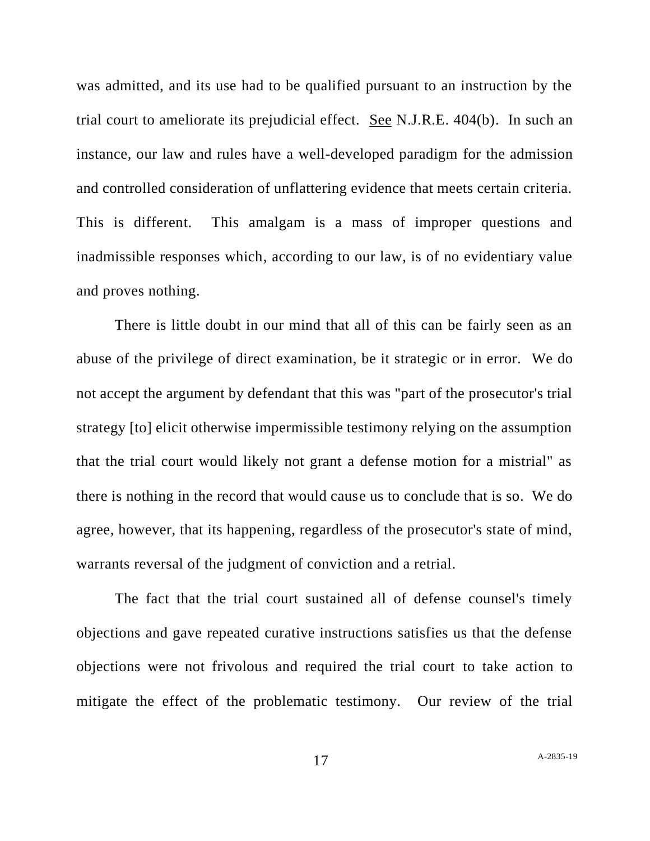was admitted, and its use had to be qualified pursuant to an instruction by the trial court to ameliorate its prejudicial effect. See N.J.R.E. 404(b). In such an instance, our law and rules have a well-developed paradigm for the admission and controlled consideration of unflattering evidence that meets certain criteria. This is different. This amalgam is a mass of improper questions and inadmissible responses which, according to our law, is of no evidentiary value and proves nothing.

There is little doubt in our mind that all of this can be fairly seen as an abuse of the privilege of direct examination, be it strategic or in error. We do not accept the argument by defendant that this was "part of the prosecutor's trial strategy [to] elicit otherwise impermissible testimony relying on the assumption that the trial court would likely not grant a defense motion for a mistrial" as there is nothing in the record that would cause us to conclude that is so. We do agree, however, that its happening, regardless of the prosecutor's state of mind, warrants reversal of the judgment of conviction and a retrial.

The fact that the trial court sustained all of defense counsel's timely objections and gave repeated curative instructions satisfies us that the defense objections were not frivolous and required the trial court to take action to mitigate the effect of the problematic testimony. Our review of the trial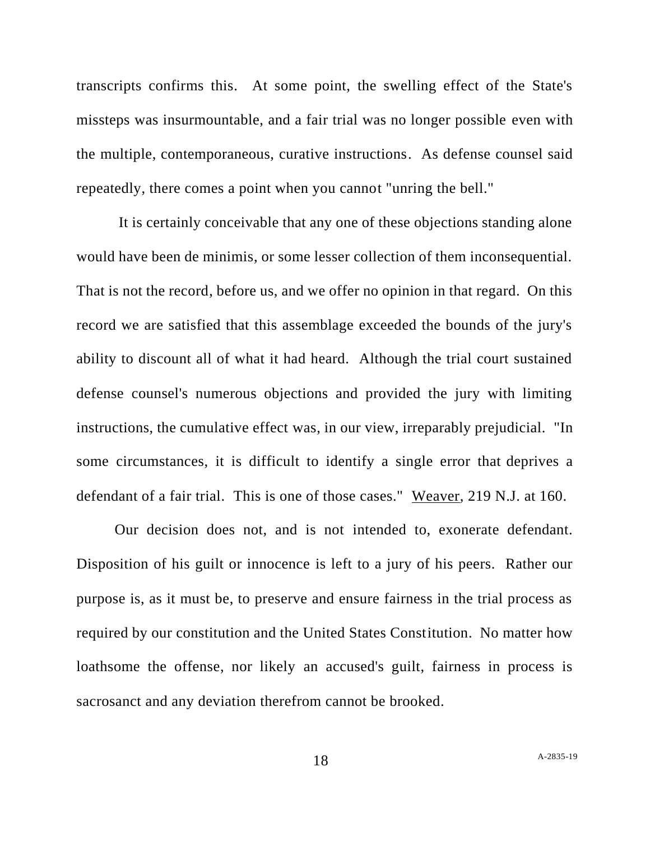transcripts confirms this. At some point, the swelling effect of the State's missteps was insurmountable, and a fair trial was no longer possible even with the multiple, contemporaneous, curative instructions. As defense counsel said repeatedly, there comes a point when you cannot "unring the bell."

It is certainly conceivable that any one of these objections standing alone would have been de minimis, or some lesser collection of them inconsequential. That is not the record, before us, and we offer no opinion in that regard. On this record we are satisfied that this assemblage exceeded the bounds of the jury's ability to discount all of what it had heard. Although the trial court sustained defense counsel's numerous objections and provided the jury with limiting instructions, the cumulative effect was, in our view, irreparably prejudicial. "In some circumstances, it is difficult to identify a single error that deprives a defendant of a fair trial. This is one of those cases." Weaver, 219 N.J. at 160.

Our decision does not, and is not intended to, exonerate defendant. Disposition of his guilt or innocence is left to a jury of his peers. Rather our purpose is, as it must be, to preserve and ensure fairness in the trial process as required by our constitution and the United States Constitution. No matter how loathsome the offense, nor likely an accused's guilt, fairness in process is sacrosanct and any deviation therefrom cannot be brooked.